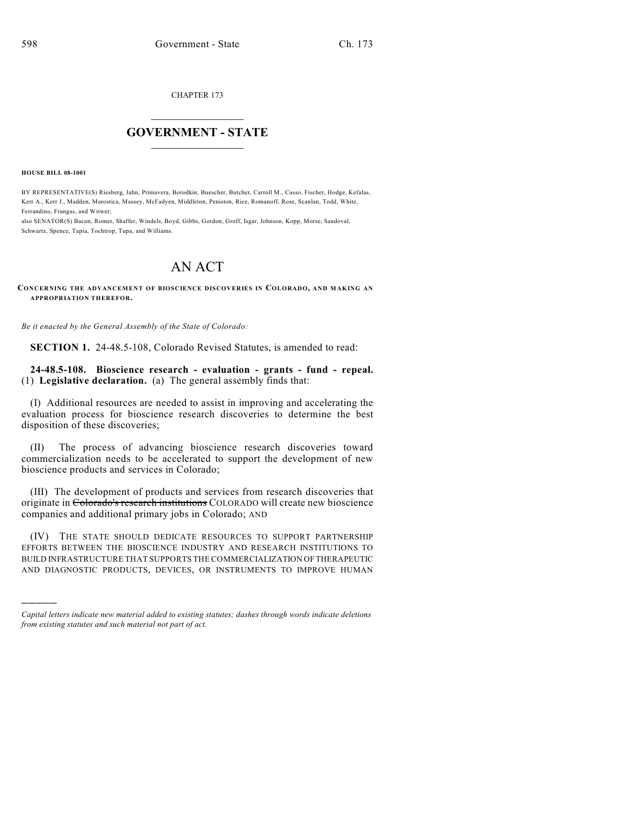CHAPTER 173

## $\mathcal{L}_\text{max}$  . The set of the set of the set of the set of the set of the set of the set of the set of the set of the set of the set of the set of the set of the set of the set of the set of the set of the set of the set **GOVERNMENT - STATE**  $\_$   $\_$   $\_$   $\_$   $\_$   $\_$   $\_$   $\_$   $\_$

**HOUSE BILL 08-1001**

)))))

BY REPRESENTATIVE(S) Riesberg, Jahn, Primavera, Borodkin, Buescher, Butcher, Carroll M., Casso, Fischer, Hodge, Kefalas, Kerr A., Kerr J., Madden, Marostica, Massey, McFadyen, Middleton, Peniston, Rice, Romanoff, Rose, Scanlan, Todd, White, Ferrandino, Frangas, and Witwer;

also SENATOR(S) Bacon, Romer, Shaffer, Windels, Boyd, Gibbs, Gordon, Groff, Isgar, Johnson, Kopp, Morse, Sandoval, Schwartz, Spence, Tapia, Tochtrop, Tupa, and Williams.

## AN ACT

**CONCERNING THE ADVANCEMENT OF BIOSCIENCE DISCOVERIES IN COLORADO, AND MAKING AN APPROPRIATION THEREFOR.**

*Be it enacted by the General Assembly of the State of Colorado:*

**SECTION 1.** 24-48.5-108, Colorado Revised Statutes, is amended to read:

**24-48.5-108. Bioscience research - evaluation - grants - fund - repeal.** (1) **Legislative declaration.** (a) The general assembly finds that:

(I) Additional resources are needed to assist in improving and accelerating the evaluation process for bioscience research discoveries to determine the best disposition of these discoveries;

(II) The process of advancing bioscience research discoveries toward commercialization needs to be accelerated to support the development of new bioscience products and services in Colorado;

(III) The development of products and services from research discoveries that originate in Colorado's research institutions COLORADO will create new bioscience companies and additional primary jobs in Colorado; AND

(IV) THE STATE SHOULD DEDICATE RESOURCES TO SUPPORT PARTNERSHIP EFFORTS BETWEEN THE BIOSCIENCE INDUSTRY AND RESEARCH INSTITUTIONS TO BUILD INFRASTRUCTURE THAT SUPPORTS THE COMMERCIALIZATION OF THERAPEUTIC AND DIAGNOSTIC PRODUCTS, DEVICES, OR INSTRUMENTS TO IMPROVE HUMAN

*Capital letters indicate new material added to existing statutes; dashes through words indicate deletions from existing statutes and such material not part of act.*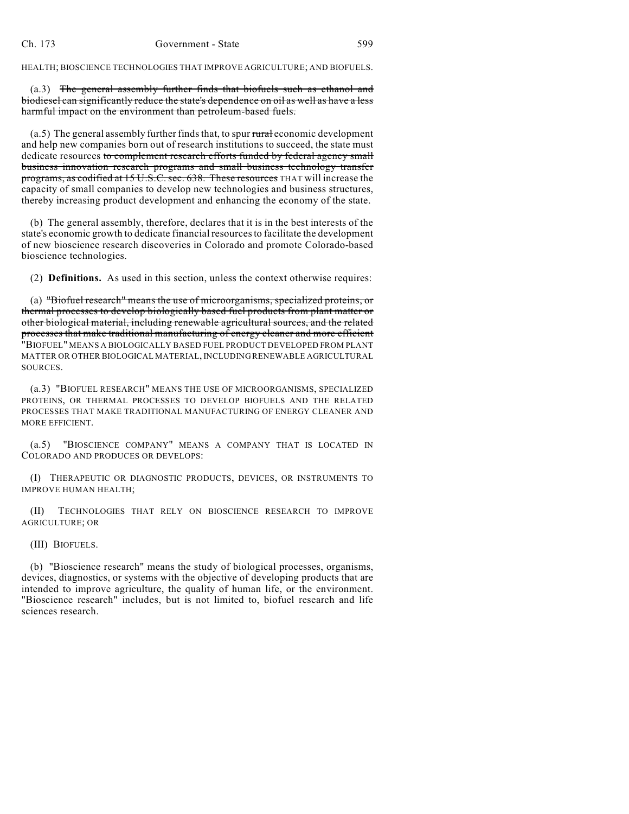HEALTH; BIOSCIENCE TECHNOLOGIES THAT IMPROVE AGRICULTURE; AND BIOFUELS.

(a.3) The general assembly further finds that biofuels such as ethanol and biodiesel can significantly reduce the state's dependence on oil as well as have a less harmful impact on the environment than petroleum-based fuels.

 $(a.5)$  The general assembly further finds that, to spur rural economic development and help new companies born out of research institutions to succeed, the state must dedicate resources to complement research efforts funded by federal agency small business innovation research programs and small business technology transfer programs, as codified at 15 U.S.C. sec. 638. These resources THAT will increase the capacity of small companies to develop new technologies and business structures, thereby increasing product development and enhancing the economy of the state.

(b) The general assembly, therefore, declares that it is in the best interests of the state's economic growth to dedicate financial resources to facilitate the development of new bioscience research discoveries in Colorado and promote Colorado-based bioscience technologies.

(2) **Definitions.** As used in this section, unless the context otherwise requires:

(a) "Biofuel research" means the use of microorganisms, specialized proteins, or thermal processes to develop biologically based fuel products from plant matter or other biological material, including renewable agricultural sources, and the related processes that make traditional manufacturing of energy cleaner and more efficient "BIOFUEL" MEANS A BIOLOGICALLY BASED FUEL PRODUCT DEVELOPED FROM PLANT MATTER OR OTHER BIOLOGICAL MATERIAL, INCLUDING RENEWABLE AGRICULTURAL SOURCES.

(a.3) "BIOFUEL RESEARCH" MEANS THE USE OF MICROORGANISMS, SPECIALIZED PROTEINS, OR THERMAL PROCESSES TO DEVELOP BIOFUELS AND THE RELATED PROCESSES THAT MAKE TRADITIONAL MANUFACTURING OF ENERGY CLEANER AND MORE EFFICIENT.

(a.5) "BIOSCIENCE COMPANY" MEANS A COMPANY THAT IS LOCATED IN COLORADO AND PRODUCES OR DEVELOPS:

(I) THERAPEUTIC OR DIAGNOSTIC PRODUCTS, DEVICES, OR INSTRUMENTS TO IMPROVE HUMAN HEALTH;

(II) TECHNOLOGIES THAT RELY ON BIOSCIENCE RESEARCH TO IMPROVE AGRICULTURE; OR

(III) BIOFUELS.

(b) "Bioscience research" means the study of biological processes, organisms, devices, diagnostics, or systems with the objective of developing products that are intended to improve agriculture, the quality of human life, or the environment. "Bioscience research" includes, but is not limited to, biofuel research and life sciences research.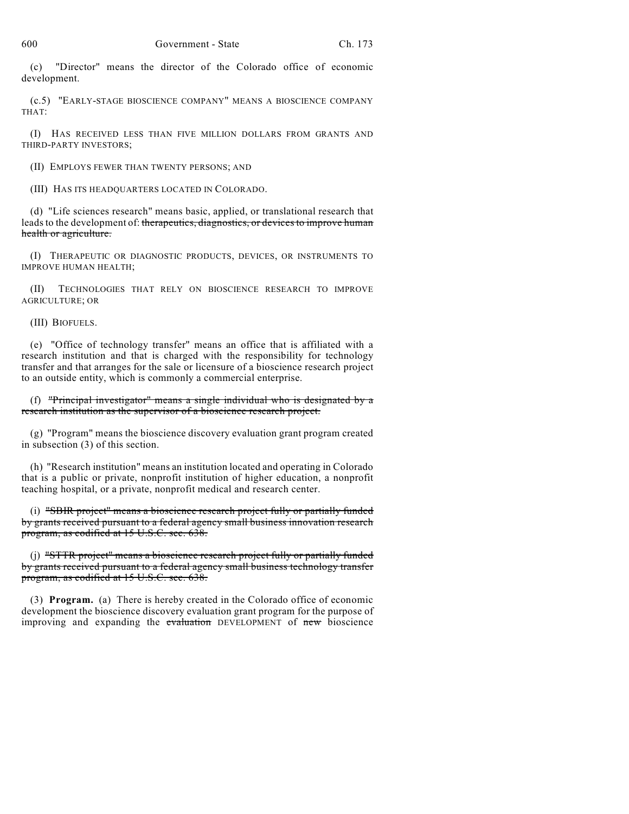(c) "Director" means the director of the Colorado office of economic development.

(c.5) "EARLY-STAGE BIOSCIENCE COMPANY" MEANS A BIOSCIENCE COMPANY THAT:

(I) HAS RECEIVED LESS THAN FIVE MILLION DOLLARS FROM GRANTS AND THIRD-PARTY INVESTORS;

(II) EMPLOYS FEWER THAN TWENTY PERSONS; AND

(III) HAS ITS HEADQUARTERS LOCATED IN COLORADO.

(d) "Life sciences research" means basic, applied, or translational research that leads to the development of: therapeutics, diagnostics, or devices to improve human health or agriculture.

(I) THERAPEUTIC OR DIAGNOSTIC PRODUCTS, DEVICES, OR INSTRUMENTS TO IMPROVE HUMAN HEALTH;

(II) TECHNOLOGIES THAT RELY ON BIOSCIENCE RESEARCH TO IMPROVE AGRICULTURE; OR

(III) BIOFUELS.

(e) "Office of technology transfer" means an office that is affiliated with a research institution and that is charged with the responsibility for technology transfer and that arranges for the sale or licensure of a bioscience research project to an outside entity, which is commonly a commercial enterprise.

(f) "Principal investigator" means a single individual who is designated by a research institution as the supervisor of a bioscience research project.

(g) "Program" means the bioscience discovery evaluation grant program created in subsection (3) of this section.

(h) "Research institution" means an institution located and operating in Colorado that is a public or private, nonprofit institution of higher education, a nonprofit teaching hospital, or a private, nonprofit medical and research center.

(i) "SBIR project" means a bioscience research project fully or partially funded by grants received pursuant to a federal agency small business innovation research program, as codified at 15 U.S.C. sec. 638.

(j) "STTR project" means a bioscience research project fully or partially funded by grants received pursuant to a federal agency small business technology transfer program, as codified at 15 U.S.C. sec. 638.

(3) **Program.** (a) There is hereby created in the Colorado office of economic development the bioscience discovery evaluation grant program for the purpose of improving and expanding the evaluation DEVELOPMENT of new bioscience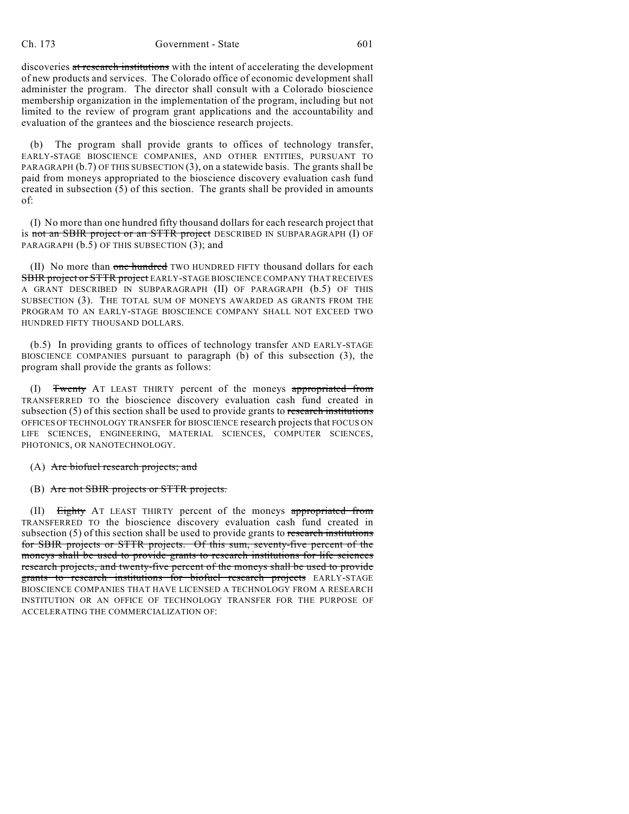discoveries at research institutions with the intent of accelerating the development of new products and services. The Colorado office of economic development shall administer the program. The director shall consult with a Colorado bioscience membership organization in the implementation of the program, including but not limited to the review of program grant applications and the accountability and evaluation of the grantees and the bioscience research projects.

(b) The program shall provide grants to offices of technology transfer, EARLY-STAGE BIOSCIENCE COMPANIES, AND OTHER ENTITIES, PURSUANT TO PARAGRAPH (b.7) OF THIS SUBSECTION (3), on a statewide basis. The grants shall be paid from moneys appropriated to the bioscience discovery evaluation cash fund created in subsection (5) of this section. The grants shall be provided in amounts of:

(I) No more than one hundred fifty thousand dollars for each research project that is not an SBIR project or an STTR project DESCRIBED IN SUBPARAGRAPH (I) OF PARAGRAPH (b.5) OF THIS SUBSECTION (3); and

(II) No more than one hundred TWO HUNDRED FIFTY thousand dollars for each SBIR project or STTR project EARLY-STAGE BIOSCIENCE COMPANY THAT RECEIVES A GRANT DESCRIBED IN SUBPARAGRAPH (II) OF PARAGRAPH (b.5) OF THIS SUBSECTION (3). THE TOTAL SUM OF MONEYS AWARDED AS GRANTS FROM THE PROGRAM TO AN EARLY-STAGE BIOSCIENCE COMPANY SHALL NOT EXCEED TWO HUNDRED FIFTY THOUSAND DOLLARS.

(b.5) In providing grants to offices of technology transfer AND EARLY-STAGE BIOSCIENCE COMPANIES pursuant to paragraph (b) of this subsection (3), the program shall provide the grants as follows:

(I) Twenty AT LEAST THIRTY percent of the moneys appropriated from TRANSFERRED TO the bioscience discovery evaluation cash fund created in subsection  $(5)$  of this section shall be used to provide grants to research institutions OFFICES OF TECHNOLOGY TRANSFER for BIOSCIENCE research projects that FOCUS ON LIFE SCIENCES, ENGINEERING, MATERIAL SCIENCES, COMPUTER SCIENCES, PHOTONICS, OR NANOTECHNOLOGY.

- (A) Are biofuel research projects; and
- (B) Are not SBIR projects or STTR projects.

(II) Eighty AT LEAST THIRTY percent of the moneys appropriated from TRANSFERRED TO the bioscience discovery evaluation cash fund created in subsection  $(5)$  of this section shall be used to provide grants to research institutions for SBIR projects or STTR projects. Of this sum, seventy-five percent of the moneys shall be used to provide grants to research institutions for life sciences research projects, and twenty-five percent of the moneys shall be used to provide grants to research institutions for biofuel research projects EARLY-STAGE BIOSCIENCE COMPANIES THAT HAVE LICENSED A TECHNOLOGY FROM A RESEARCH INSTITUTION OR AN OFFICE OF TECHNOLOGY TRANSFER FOR THE PURPOSE OF ACCELERATING THE COMMERCIALIZATION OF: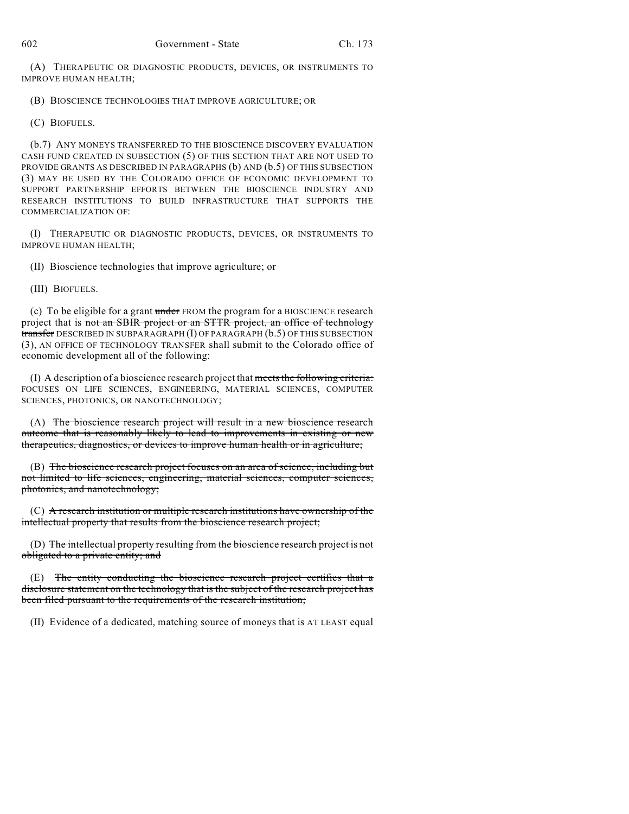(A) THERAPEUTIC OR DIAGNOSTIC PRODUCTS, DEVICES, OR INSTRUMENTS TO IMPROVE HUMAN HEALTH;

(B) BIOSCIENCE TECHNOLOGIES THAT IMPROVE AGRICULTURE; OR

(C) BIOFUELS.

(b.7) ANY MONEYS TRANSFERRED TO THE BIOSCIENCE DISCOVERY EVALUATION CASH FUND CREATED IN SUBSECTION (5) OF THIS SECTION THAT ARE NOT USED TO PROVIDE GRANTS AS DESCRIBED IN PARAGRAPHS (b) AND (b.5) OF THIS SUBSECTION (3) MAY BE USED BY THE COLORADO OFFICE OF ECONOMIC DEVELOPMENT TO SUPPORT PARTNERSHIP EFFORTS BETWEEN THE BIOSCIENCE INDUSTRY AND RESEARCH INSTITUTIONS TO BUILD INFRASTRUCTURE THAT SUPPORTS THE COMMERCIALIZATION OF:

(I) THERAPEUTIC OR DIAGNOSTIC PRODUCTS, DEVICES, OR INSTRUMENTS TO IMPROVE HUMAN HEALTH;

(II) Bioscience technologies that improve agriculture; or

(III) BIOFUELS.

(c) To be eligible for a grant under FROM the program for a BIOSCIENCE research project that is not an SBIR project or an STTR project, an office of technology transfer DESCRIBED IN SUBPARAGRAPH (I) OF PARAGRAPH (b.5) OF THIS SUBSECTION (3), AN OFFICE OF TECHNOLOGY TRANSFER shall submit to the Colorado office of economic development all of the following:

(I) A description of a bioscience research project that meets the following criteria: FOCUSES ON LIFE SCIENCES, ENGINEERING, MATERIAL SCIENCES, COMPUTER SCIENCES, PHOTONICS, OR NANOTECHNOLOGY;

(A) The bioscience research project will result in a new bioscience research outcome that is reasonably likely to lead to improvements in existing or new therapeutics, diagnostics, or devices to improve human health or in agriculture;

(B) The bioscience research project focuses on an area of science, including but not limited to life sciences, engineering, material sciences, computer sciences, photonics, and nanotechnology;

(C) A research institution or multiple research institutions have ownership of the intellectual property that results from the bioscience research project;

(D) The intellectual property resulting from the bioscience research project is not obligated to a private entity; and

 $(E)$  The entity conducting the bioscience research project certifies that a disclosure statement on the technology that is the subject of the research project has been filed pursuant to the requirements of the research institution;

(II) Evidence of a dedicated, matching source of moneys that is AT LEAST equal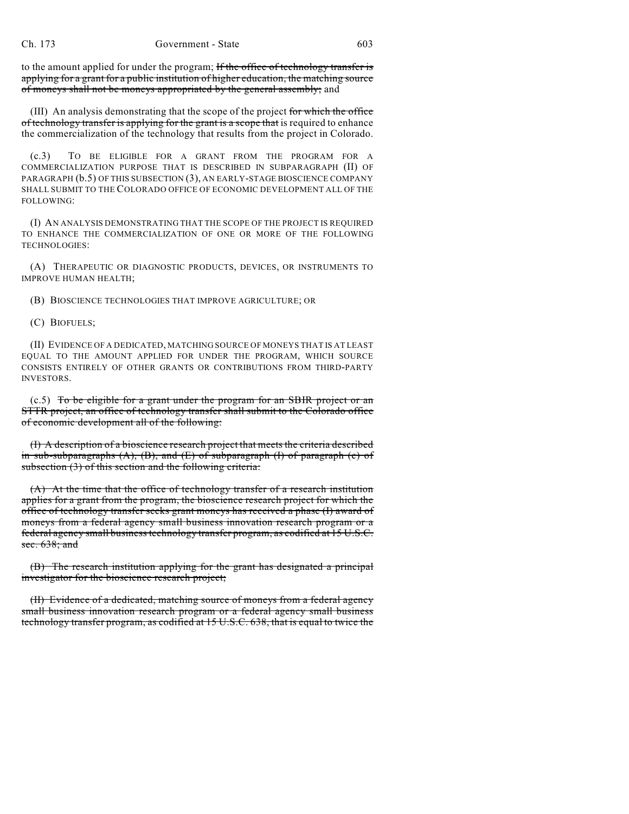to the amount applied for under the program; If the office of technology transfer is applying for a grant for a public institution of higher education, the matching source of moneys shall not be moneys appropriated by the general assembly; and

(III) An analysis demonstrating that the scope of the project for which the office of technology transfer is applying for the grant is a scope that is required to enhance the commercialization of the technology that results from the project in Colorado.

(c.3) TO BE ELIGIBLE FOR A GRANT FROM THE PROGRAM FOR A COMMERCIALIZATION PURPOSE THAT IS DESCRIBED IN SUBPARAGRAPH (II) OF PARAGRAPH (b.5) OF THIS SUBSECTION (3), AN EARLY-STAGE BIOSCIENCE COMPANY SHALL SUBMIT TO THE COLORADO OFFICE OF ECONOMIC DEVELOPMENT ALL OF THE FOLLOWING:

(I) AN ANALYSIS DEMONSTRATING THAT THE SCOPE OF THE PROJECT IS REQUIRED TO ENHANCE THE COMMERCIALIZATION OF ONE OR MORE OF THE FOLLOWING TECHNOLOGIES:

(A) THERAPEUTIC OR DIAGNOSTIC PRODUCTS, DEVICES, OR INSTRUMENTS TO IMPROVE HUMAN HEALTH;

(B) BIOSCIENCE TECHNOLOGIES THAT IMPROVE AGRICULTURE; OR

(C) BIOFUELS;

(II) EVIDENCE OF A DEDICATED, MATCHING SOURCE OF MONEYS THAT IS AT LEAST EQUAL TO THE AMOUNT APPLIED FOR UNDER THE PROGRAM, WHICH SOURCE CONSISTS ENTIRELY OF OTHER GRANTS OR CONTRIBUTIONS FROM THIRD-PARTY INVESTORS.

(c.5) To be eligible for a grant under the program for an SBIR project or an STTR project, an office of technology transfer shall submit to the Colorado office of economic development all of the following:

(I) A description of a bioscience research project that meets the criteria described in sub-subparagraphs  $(A)$ ,  $(B)$ , and  $(E)$  of subparagraph  $(I)$  of paragraph  $(c)$  of subsection (3) of this section and the following criteria:

(A) At the time that the office of technology transfer of a research institution applies for a grant from the program, the bioscience research project for which the office of technology transfer seeks grant moneys has received a phase (I) award of moneys from a federal agency small business innovation research program or a federal agency small business technology transfer program, as codified at 15 U.S.C. sec. 638; and

(B) The research institution applying for the grant has designated a principal investigator for the bioscience research project;

(II) Evidence of a dedicated, matching source of moneys from a federal agency small business innovation research program or a federal agency small business technology transfer program, as codified at 15 U.S.C. 638, that is equal to twice the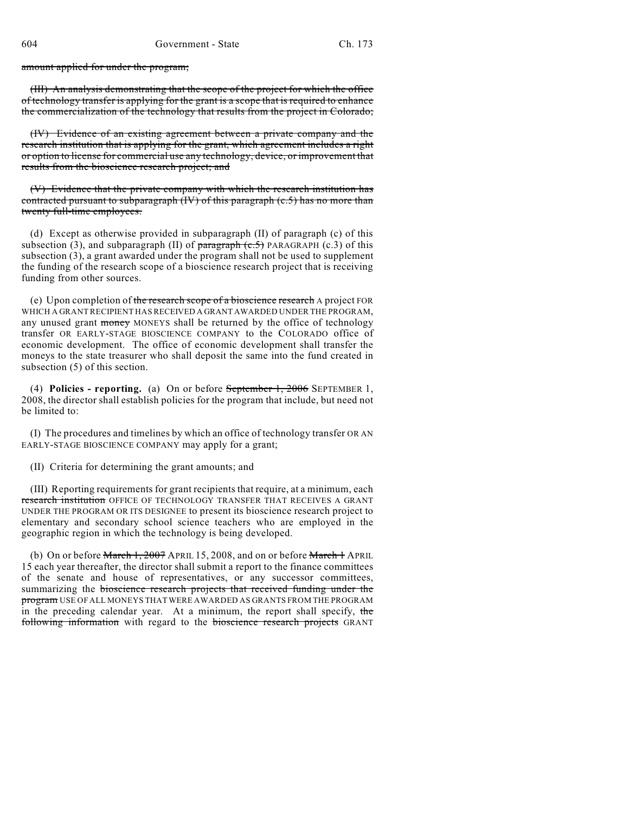amount applied for under the program;

(III) An analysis demonstrating that the scope of the project for which the office of technology transfer is applying for the grant is a scope that is required to enhance the commercialization of the technology that results from the project in Colorado;

(IV) Evidence of an existing agreement between a private company and the research institution that is applying for the grant, which agreement includes a right or option to license for commercial use any technology, device, or improvement that results from the bioscience research project; and

(V) Evidence that the private company with which the research institution has contracted pursuant to subparagraph  $(V)$  of this paragraph  $(c.5)$  has no more than twenty full-time employees.

(d) Except as otherwise provided in subparagraph (II) of paragraph (c) of this subsection (3), and subparagraph (II) of  $\frac{\bar{x}}{\bar{y}}$  PARAGRAPH (c.3) of this subsection (3), a grant awarded under the program shall not be used to supplement the funding of the research scope of a bioscience research project that is receiving funding from other sources.

(e) Upon completion of the research scope of a bioscience research A project FOR WHICH A GRANT RECIPIENT HAS RECEIVED A GRANT AWARDED UNDER THE PROGRAM, any unused grant money MONEYS shall be returned by the office of technology transfer OR EARLY-STAGE BIOSCIENCE COMPANY to the COLORADO office of economic development. The office of economic development shall transfer the moneys to the state treasurer who shall deposit the same into the fund created in subsection (5) of this section.

(4) **Policies - reporting.** (a) On or before September 1, 2006 SEPTEMBER 1, 2008, the director shall establish policies for the program that include, but need not be limited to:

(I) The procedures and timelines by which an office of technology transfer OR AN EARLY-STAGE BIOSCIENCE COMPANY may apply for a grant;

(II) Criteria for determining the grant amounts; and

(III) Reporting requirements for grant recipients that require, at a minimum, each research institution OFFICE OF TECHNOLOGY TRANSFER THAT RECEIVES A GRANT UNDER THE PROGRAM OR ITS DESIGNEE to present its bioscience research project to elementary and secondary school science teachers who are employed in the geographic region in which the technology is being developed.

(b) On or before March 1, 2007 APRIL 15, 2008, and on or before March 1 APRIL 15 each year thereafter, the director shall submit a report to the finance committees of the senate and house of representatives, or any successor committees, summarizing the bioscience research projects that received funding under the program USE OF ALL MONEYS THAT WERE AWARDED AS GRANTS FROM THE PROGRAM in the preceding calendar year. At a minimum, the report shall specify, the following information with regard to the bioscience research projects GRANT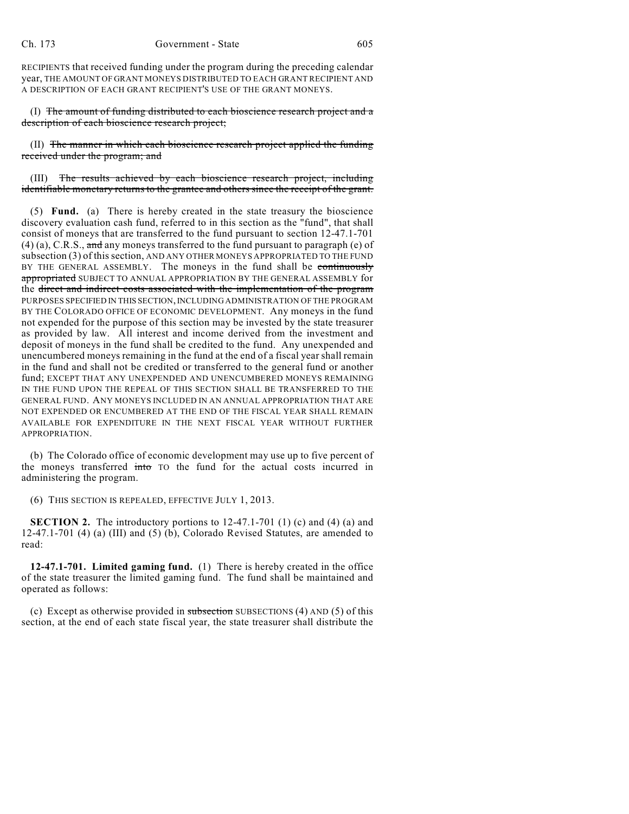RECIPIENTS that received funding under the program during the preceding calendar year, THE AMOUNT OF GRANT MONEYS DISTRIBUTED TO EACH GRANT RECIPIENT AND A DESCRIPTION OF EACH GRANT RECIPIENT'S USE OF THE GRANT MONEYS.

(I) The amount of funding distributed to each bioscience research project and a description of each bioscience research project;

(II) The manner in which each bioscience research project applied the funding received under the program; and

(III) The results achieved by each bioscience research project, including identifiable monetary returns to the grantee and others since the receipt of the grant.

(5) **Fund.** (a) There is hereby created in the state treasury the bioscience discovery evaluation cash fund, referred to in this section as the "fund", that shall consist of moneys that are transferred to the fund pursuant to section 12-47.1-701  $(4)$  (a), C.R.S., and any moneys transferred to the fund pursuant to paragraph (e) of subsection (3) of this section, AND ANY OTHER MONEYS APPROPRIATED TO THE FUND BY THE GENERAL ASSEMBLY. The moneys in the fund shall be continuously appropriated SUBJECT TO ANNUAL APPROPRIATION BY THE GENERAL ASSEMBLY for the direct and indirect costs associated with the implementation of the program PURPOSES SPECIFIED IN THIS SECTION, INCLUDING ADMINISTRATION OF THE PROGRAM BY THE COLORADO OFFICE OF ECONOMIC DEVELOPMENT. Any moneys in the fund not expended for the purpose of this section may be invested by the state treasurer as provided by law. All interest and income derived from the investment and deposit of moneys in the fund shall be credited to the fund. Any unexpended and unencumbered moneys remaining in the fund at the end of a fiscal year shall remain in the fund and shall not be credited or transferred to the general fund or another fund; EXCEPT THAT ANY UNEXPENDED AND UNENCUMBERED MONEYS REMAINING IN THE FUND UPON THE REPEAL OF THIS SECTION SHALL BE TRANSFERRED TO THE GENERAL FUND. ANY MONEYS INCLUDED IN AN ANNUAL APPROPRIATION THAT ARE NOT EXPENDED OR ENCUMBERED AT THE END OF THE FISCAL YEAR SHALL REMAIN AVAILABLE FOR EXPENDITURE IN THE NEXT FISCAL YEAR WITHOUT FURTHER APPROPRIATION.

(b) The Colorado office of economic development may use up to five percent of the moneys transferred into TO the fund for the actual costs incurred in administering the program.

(6) THIS SECTION IS REPEALED, EFFECTIVE JULY 1, 2013.

**SECTION 2.** The introductory portions to 12-47.1-701 (1) (c) and (4) (a) and 12-47.1-701 (4) (a) (III) and (5) (b), Colorado Revised Statutes, are amended to read:

**12-47.1-701. Limited gaming fund.** (1) There is hereby created in the office of the state treasurer the limited gaming fund. The fund shall be maintained and operated as follows:

(c) Except as otherwise provided in subsection SUBSECTIONS (4) AND  $(5)$  of this section, at the end of each state fiscal year, the state treasurer shall distribute the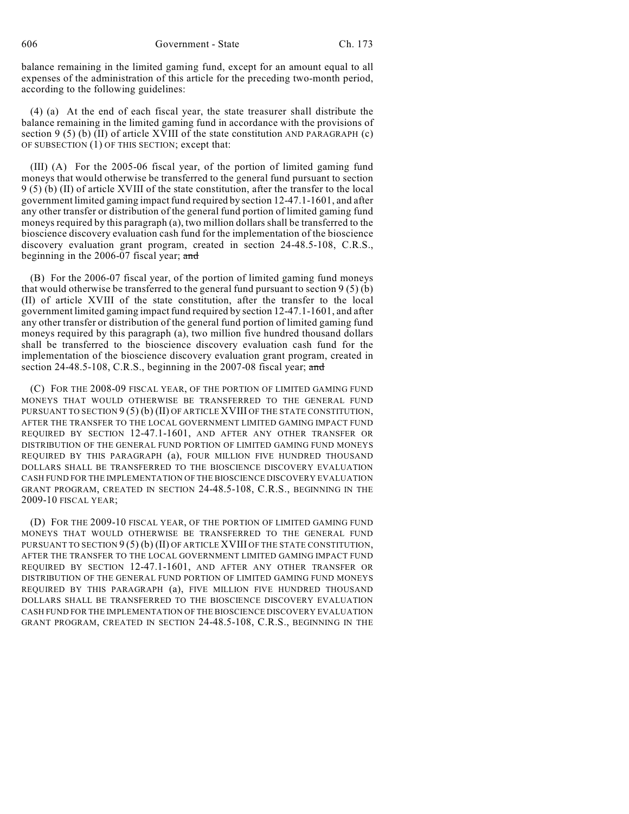606 Government - State Ch. 173

balance remaining in the limited gaming fund, except for an amount equal to all expenses of the administration of this article for the preceding two-month period, according to the following guidelines:

(4) (a) At the end of each fiscal year, the state treasurer shall distribute the balance remaining in the limited gaming fund in accordance with the provisions of section 9 (5) (b) (II) of article XVIII of the state constitution AND PARAGRAPH (c) OF SUBSECTION (1) OF THIS SECTION; except that:

(III) (A) For the 2005-06 fiscal year, of the portion of limited gaming fund moneys that would otherwise be transferred to the general fund pursuant to section 9 (5) (b) (II) of article XVIII of the state constitution, after the transfer to the local government limited gaming impact fund required by section 12-47.1-1601, and after any other transfer or distribution of the general fund portion of limited gaming fund moneys required by this paragraph (a), two million dollars shall be transferred to the bioscience discovery evaluation cash fund for the implementation of the bioscience discovery evaluation grant program, created in section 24-48.5-108, C.R.S., beginning in the 2006-07 fiscal year; and

(B) For the 2006-07 fiscal year, of the portion of limited gaming fund moneys that would otherwise be transferred to the general fund pursuant to section  $9(5)(b)$ (II) of article XVIII of the state constitution, after the transfer to the local government limited gaming impact fund required by section 12-47.1-1601, and after any other transfer or distribution of the general fund portion of limited gaming fund moneys required by this paragraph (a), two million five hundred thousand dollars shall be transferred to the bioscience discovery evaluation cash fund for the implementation of the bioscience discovery evaluation grant program, created in section 24-48.5-108, C.R.S., beginning in the 2007-08 fiscal year; and

(C) FOR THE 2008-09 FISCAL YEAR, OF THE PORTION OF LIMITED GAMING FUND MONEYS THAT WOULD OTHERWISE BE TRANSFERRED TO THE GENERAL FUND PURSUANT TO SECTION 9(5) (b) (II) OF ARTICLE XVIII OF THE STATE CONSTITUTION, AFTER THE TRANSFER TO THE LOCAL GOVERNMENT LIMITED GAMING IMPACT FUND REQUIRED BY SECTION 12-47.1-1601, AND AFTER ANY OTHER TRANSFER OR DISTRIBUTION OF THE GENERAL FUND PORTION OF LIMITED GAMING FUND MONEYS REQUIRED BY THIS PARAGRAPH (a), FOUR MILLION FIVE HUNDRED THOUSAND DOLLARS SHALL BE TRANSFERRED TO THE BIOSCIENCE DISCOVERY EVALUATION CASH FUND FOR THE IMPLEMENTATION OF THE BIOSCIENCE DISCOVERY EVALUATION GRANT PROGRAM, CREATED IN SECTION 24-48.5-108, C.R.S., BEGINNING IN THE 2009-10 FISCAL YEAR;

(D) FOR THE 2009-10 FISCAL YEAR, OF THE PORTION OF LIMITED GAMING FUND MONEYS THAT WOULD OTHERWISE BE TRANSFERRED TO THE GENERAL FUND PURSUANT TO SECTION  $9(5)(b)(II)$  OF ARTICLE XVIII OF THE STATE CONSTITUTION, AFTER THE TRANSFER TO THE LOCAL GOVERNMENT LIMITED GAMING IMPACT FUND REQUIRED BY SECTION 12-47.1-1601, AND AFTER ANY OTHER TRANSFER OR DISTRIBUTION OF THE GENERAL FUND PORTION OF LIMITED GAMING FUND MONEYS REQUIRED BY THIS PARAGRAPH (a), FIVE MILLION FIVE HUNDRED THOUSAND DOLLARS SHALL BE TRANSFERRED TO THE BIOSCIENCE DISCOVERY EVALUATION CASH FUND FOR THE IMPLEMENTATION OF THE BIOSCIENCE DISCOVERY EVALUATION GRANT PROGRAM, CREATED IN SECTION 24-48.5-108, C.R.S., BEGINNING IN THE